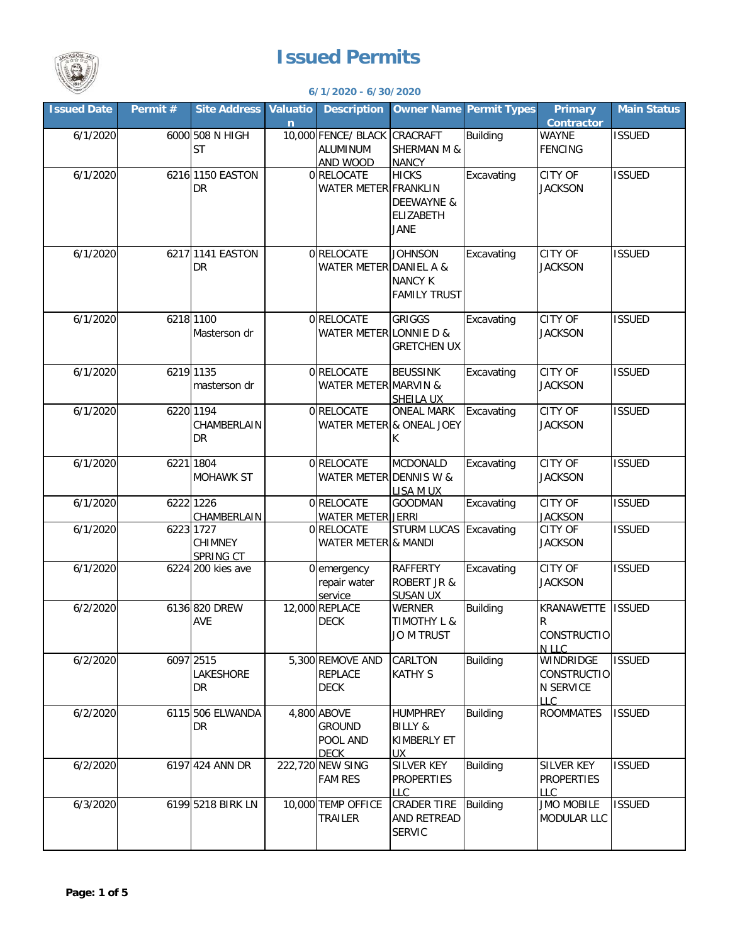

## **Issued Permits**

**6/1/2020 - 6/30/2020**

| <b>Issued Date</b> | Permit # | Site Address Valuatio         |   | <b>Description</b>                   | <b>Owner Name Permit Types</b>            |                 | <b>Primary</b>                         | <b>Main Status</b> |
|--------------------|----------|-------------------------------|---|--------------------------------------|-------------------------------------------|-----------------|----------------------------------------|--------------------|
|                    |          |                               | n |                                      |                                           |                 | <b>Contractor</b>                      |                    |
| 6/1/2020           |          | 6000 508 N HIGH               |   | 10,000 FENCE/ BLACK CRACRAFT         |                                           | <b>Building</b> | WAYNE                                  | <b>ISSUED</b>      |
|                    |          | <b>ST</b>                     |   | <b>ALUMINUM</b>                      | <b>SHERMAN M &amp;</b>                    |                 | <b>FENCING</b>                         |                    |
| 6/1/2020           |          | 6216 1150 EASTON              |   | AND WOOD<br>0 RELOCATE               | <b>NANCY</b><br><b>HICKS</b>              | Excavating      | <b>CITY OF</b>                         | <b>ISSUED</b>      |
|                    |          | DR                            |   | WATER METER FRANKLIN                 |                                           |                 | <b>JACKSON</b>                         |                    |
|                    |          |                               |   |                                      | <b>DEEWAYNE &amp;</b>                     |                 |                                        |                    |
|                    |          |                               |   |                                      | <b>ELIZABETH</b>                          |                 |                                        |                    |
|                    |          |                               |   |                                      | <b>JANE</b>                               |                 |                                        |                    |
|                    |          |                               |   |                                      |                                           |                 |                                        |                    |
| 6/1/2020           |          | 6217 1141 EASTON              |   | 0 RELOCATE                           | <b>JOHNSON</b>                            | Excavating      | <b>CITY OF</b>                         | <b>ISSUED</b>      |
|                    |          | DR                            |   | WATER METER DANIEL A &               |                                           |                 | <b>JACKSON</b>                         |                    |
|                    |          |                               |   |                                      | <b>NANCY K</b><br><b>FAMILY TRUST</b>     |                 |                                        |                    |
|                    |          |                               |   |                                      |                                           |                 |                                        |                    |
| 6/1/2020           |          | 6218 1100                     |   | 0 RELOCATE                           | <b>GRIGGS</b>                             | Excavating      | CITY OF                                | <b>ISSUED</b>      |
|                    |          | Masterson dr                  |   | WATER METER LONNIE D &               |                                           |                 | <b>JACKSON</b>                         |                    |
|                    |          |                               |   |                                      | <b>GRETCHEN UX</b>                        |                 |                                        |                    |
| 6/1/2020           |          | 6219 1135                     |   | 0 RELOCATE                           | <b>BEUSSINK</b>                           | Excavating      | <b>CITY OF</b>                         | <b>ISSUED</b>      |
|                    |          | masterson dr                  |   | WATER METER MARVIN &                 |                                           |                 | <b>JACKSON</b>                         |                    |
|                    |          |                               |   |                                      | SHEILA UX                                 |                 |                                        |                    |
| 6/1/2020           |          | 6220 1194                     |   | 0 RELOCATE                           | <b>ONEAL MARK</b>                         | Excavating      | <b>CITY OF</b>                         | <b>ISSUED</b>      |
|                    |          | CHAMBERLAIN                   |   |                                      | WATER METER & ONEAL JOEY                  |                 | <b>JACKSON</b>                         |                    |
|                    |          | <b>DR</b>                     |   |                                      | K.                                        |                 |                                        |                    |
|                    |          |                               |   |                                      |                                           |                 |                                        |                    |
| 6/1/2020           |          | 6221 1804<br><b>MOHAWK ST</b> |   | 0 RELOCATE<br>WATER METER DENNIS W & | MCDONALD                                  | Excavating      | CITY OF<br><b>JACKSON</b>              | <b>ISSUED</b>      |
|                    |          |                               |   |                                      | LISA M UX                                 |                 |                                        |                    |
| 6/1/2020           |          | 6222 1226                     |   | 0 RELOCATE                           | <b>GOODMAN</b>                            | Excavating      | <b>CITY OF</b>                         | <b>ISSUED</b>      |
|                    |          | CHAMBERLAIN                   |   | <b>WATER METER JERRI</b>             |                                           |                 | <b>JACKSON</b>                         |                    |
| 6/1/2020           |          | 6223 1727                     |   | 0 RELOCATE                           | <b>STURM LUCAS</b>                        | Excavating      | CITY OF                                | <b>ISSUED</b>      |
|                    |          | CHIMNEY                       |   | WATER METER & MANDI                  |                                           |                 | <b>JACKSON</b>                         |                    |
| 6/1/2020           |          | SPRING CT                     |   |                                      |                                           |                 |                                        |                    |
|                    |          | 6224 200 kies ave             |   | 0 emergency<br>repair water          | <b>RAFFERTY</b><br><b>ROBERT JR &amp;</b> | Excavating      | <b>CITY OF</b><br><b>JACKSON</b>       | <b>ISSUED</b>      |
|                    |          |                               |   | service                              | <b>SUSAN UX</b>                           |                 |                                        |                    |
| 6/2/2020           |          | 6136 820 DREW                 |   | 12,000 REPLACE                       | <b>WERNER</b>                             | <b>Building</b> | KRANAWETTE                             | <b>ISSUED</b>      |
|                    |          | AVE                           |   | <b>DECK</b>                          | <b>TIMOTHY L &amp;</b>                    |                 | R                                      |                    |
|                    |          |                               |   |                                      | <b>JO M TRUST</b>                         |                 | CONSTRUCTIO                            |                    |
|                    |          |                               |   |                                      |                                           |                 | N LLC                                  |                    |
| 6/2/2020           |          | 6097 2515<br>LAKESHORE        |   | 5,300 REMOVE AND<br><b>REPLACE</b>   | CARLTON<br><b>KATHY S</b>                 | <b>Building</b> | WINDRIDGE<br><b>CONSTRUCTIO</b>        | <b>ISSUED</b>      |
|                    |          | <b>DR</b>                     |   | <b>DECK</b>                          |                                           |                 | <b>N SERVICE</b>                       |                    |
|                    |          |                               |   |                                      |                                           |                 | <b>LLC</b>                             |                    |
| 6/2/2020           |          | 6115 506 ELWANDA              |   | 4,800 ABOVE                          | <b>HUMPHREY</b>                           | <b>Building</b> | <b>ROOMMATES</b>                       | <b>ISSUED</b>      |
|                    |          | <b>DR</b>                     |   | <b>GROUND</b>                        | <b>BILLY &amp;</b>                        |                 |                                        |                    |
|                    |          |                               |   | POOL AND                             | KIMBERLY ET                               |                 |                                        |                    |
|                    |          |                               |   | <b>DECK</b>                          | <b>UX</b>                                 |                 |                                        |                    |
| 6/2/2020           |          | 6197 424 ANN DR               |   | 222,720 NEW SING<br><b>FAM RES</b>   | SILVER KEY<br><b>PROPERTIES</b>           | <b>Building</b> | <b>SILVER KEY</b><br><b>PROPERTIES</b> | <b>ISSUED</b>      |
|                    |          |                               |   |                                      | <b>LLC</b>                                |                 | LLC                                    |                    |
| 6/3/2020           |          | 6199 5218 BIRK LN             |   | 10,000 TEMP OFFICE                   | CRADER TIRE                               | <b>Building</b> | <b>JMO MOBILE</b>                      | <b>ISSUED</b>      |
|                    |          |                               |   | TRAILER                              | AND RETREAD                               |                 | MODULAR LLC                            |                    |
|                    |          |                               |   |                                      | <b>SERVIC</b>                             |                 |                                        |                    |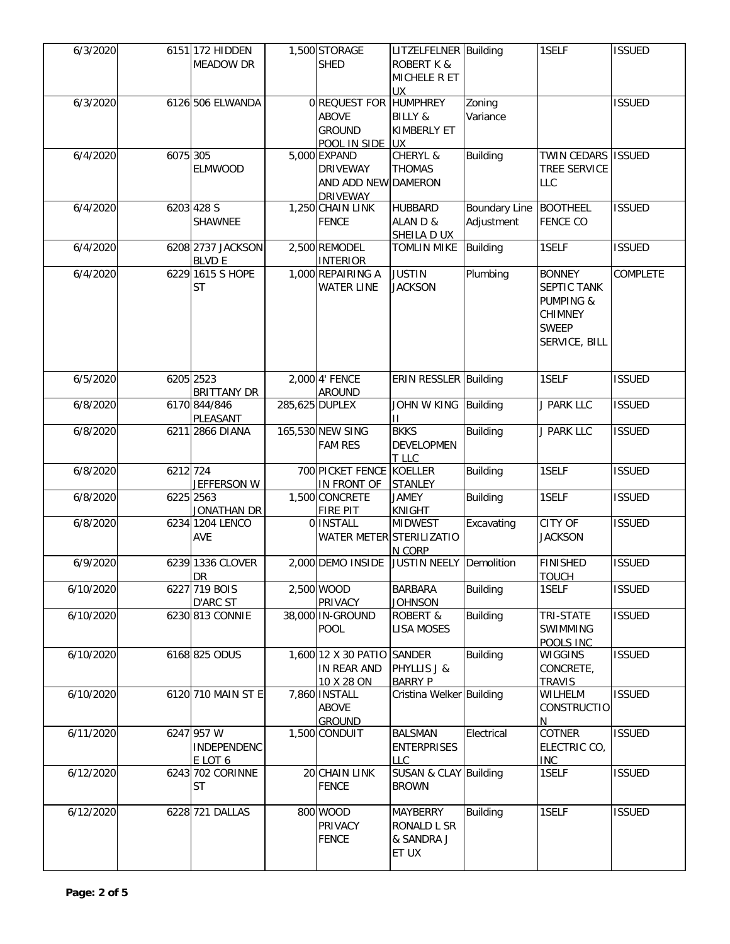| 6/3/2020  |          | 6151 172 HIDDEN<br><b>MEADOW DR</b>  | 1,500 STORAGE<br><b>SHED</b>                                              | LITZELFELNER Building<br><b>ROBERT K &amp;</b><br>MICHELE R ET<br><b>UX</b> |                                    | 1SELF                                                                                                   | <b>ISSUED</b> |
|-----------|----------|--------------------------------------|---------------------------------------------------------------------------|-----------------------------------------------------------------------------|------------------------------------|---------------------------------------------------------------------------------------------------------|---------------|
| 6/3/2020  |          | 6126 506 ELWANDA                     | 0 REQUEST FOR<br><b>ABOVE</b><br><b>GROUND</b><br>POOL IN SIDE UX         | <b>HUMPHREY</b><br><b>BILLY &amp;</b><br>KIMBERLY ET                        | Zoning<br>Variance                 |                                                                                                         | <b>ISSUED</b> |
| 6/4/2020  | 6075 305 | <b>ELMWOOD</b>                       | 5,000 EXPAND<br><b>DRIVEWAY</b><br>AND ADD NEW DAMERON<br><b>DRIVEWAY</b> | CHERYL &<br><b>THOMAS</b>                                                   | <b>Building</b>                    | TWIN CEDARS ISSUED<br><b>TREE SERVICE</b><br>LLC                                                        |               |
| 6/4/2020  |          | 6203 428 S<br>SHAWNEE                | 1,250 CHAIN LINK<br><b>FENCE</b>                                          | <b>HUBBARD</b><br>ALAN D &<br>SHEILA D UX                                   | <b>Boundary Line</b><br>Adjustment | <b>BOOTHEEL</b><br><b>FENCE CO</b>                                                                      | <b>ISSUED</b> |
| 6/4/2020  |          | 6208 2737 JACKSON<br><b>BLVD E</b>   | 2,500 REMODEL<br><b>INTERIOR</b>                                          | <b>TOMLIN MIKE</b>                                                          | <b>Building</b>                    | 1SELF                                                                                                   | <b>ISSUED</b> |
| 6/4/2020  |          | 6229 1615 S HOPE<br><b>ST</b>        | 1,000 REPAIRING A<br><b>WATER LINE</b>                                    | <b>JUSTIN</b><br><b>JACKSON</b>                                             | Plumbing                           | <b>BONNEY</b><br>SEPTIC TANK<br><b>PUMPING &amp;</b><br><b>CHIMNEY</b><br><b>SWEEP</b><br>SERVICE, BILL | COMPLETE      |
| 6/5/2020  |          | 6205 2523<br><b>BRITTANY DR</b>      | 2,000 4' FENCE<br><b>AROUND</b>                                           | ERIN RESSLER Building                                                       |                                    | 1SELF                                                                                                   | <b>ISSUED</b> |
| 6/8/2020  |          | 6170 844/846<br>PLEASANT             | 285,625 DUPLEX                                                            | JOHN W KING<br>П                                                            | <b>Building</b>                    | J PARK LLC                                                                                              | <b>ISSUED</b> |
| 6/8/2020  |          | 6211 2866 DIANA                      | 165,530 NEW SING<br><b>FAM RES</b>                                        | <b>BKKS</b><br>DEVELOPMEN<br>T LLC                                          | <b>Building</b>                    | J PARK LLC                                                                                              | <b>ISSUED</b> |
| 6/8/2020  | 6212 724 | JEFFERSON W                          | 700 PICKET FENCE<br>IN FRONT OF                                           | <b>KOELLER</b><br><b>STANLEY</b>                                            | <b>Building</b>                    | 1SELF                                                                                                   | <b>ISSUED</b> |
| 6/8/2020  |          | 6225 2563<br>JONATHAN DR             | 1,500 CONCRETE<br><b>FIRE PIT</b>                                         | <b>JAMEY</b><br>KNIGHT                                                      | <b>Building</b>                    | 1SELF                                                                                                   | <b>ISSUED</b> |
| 6/8/2020  |          | 6234 1204 LENCO<br>AVE               | 0 INSTALL<br>WATER METER STERILIZATIO                                     | <b>MIDWEST</b><br>N CORP                                                    | Excavating                         | <b>CITY OF</b><br><b>JACKSON</b>                                                                        | <b>ISSUED</b> |
| 6/9/2020  |          | 6239 1336 CLOVER<br><b>DR</b>        | 2,000 DEMO INSIDE                                                         | JUSTIN NEELY Demolition                                                     |                                    | <b>FINISHED</b><br><b>TOUCH</b>                                                                         | <b>ISSUED</b> |
| 6/10/2020 |          | 6227 719 BOIS<br>D'ARC ST            | 2,500 WOOD<br>PRIVACY                                                     | <b>BARBARA</b><br><b>JOHNSON</b>                                            | <b>Building</b>                    | 1SELF                                                                                                   | <b>ISSUED</b> |
| 6/10/2020 |          | 6230 813 CONNIE                      | 38,000 IN-GROUND<br><b>POOL</b>                                           | ROBERT &<br><b>LISA MOSES</b>                                               | <b>Building</b>                    | TRI-STATE<br><b>SWIMMING</b><br>POOLS INC                                                               | <b>ISSUED</b> |
| 6/10/2020 |          | 6168 825 ODUS                        | 1,600 12 X 30 PATIO SANDER<br>IN REAR AND<br>10 X 28 ON                   | PHYLLIS J &<br><b>BARRY P</b>                                               | <b>Building</b>                    | <b>WIGGINS</b><br>CONCRETE,<br><b>TRAVIS</b>                                                            | <b>ISSUED</b> |
| 6/10/2020 |          | 6120 710 MAIN ST E                   | 7,860 INSTALL<br><b>ABOVE</b><br><b>GROUND</b>                            | Cristina Welker Building                                                    |                                    | WILHELM<br>CONSTRUCTIO<br>N                                                                             | <b>ISSUED</b> |
| 6/11/2020 |          | 6247 957 W<br>INDEPENDENC<br>E LOT 6 | 1,500 CONDUIT                                                             | <b>BALSMAN</b><br><b>ENTERPRISES</b><br>LLC.                                | Electrical                         | COTNER<br>ELECTRIC CO,<br><b>INC</b>                                                                    | <b>ISSUED</b> |
| 6/12/2020 |          | 6243 702 CORINNE<br>ST               | 20 CHAIN LINK<br><b>FENCE</b>                                             | SUSAN & CLAY Building<br><b>BROWN</b>                                       |                                    | 1SELF                                                                                                   | <b>ISSUED</b> |
| 6/12/2020 |          | 6228 721 DALLAS                      | 800 WOOD<br>PRIVACY<br><b>FENCE</b>                                       | MAYBERRY<br>RONALD L SR<br>& SANDRA J<br>ET UX                              | <b>Building</b>                    | 1SELF                                                                                                   | <b>ISSUED</b> |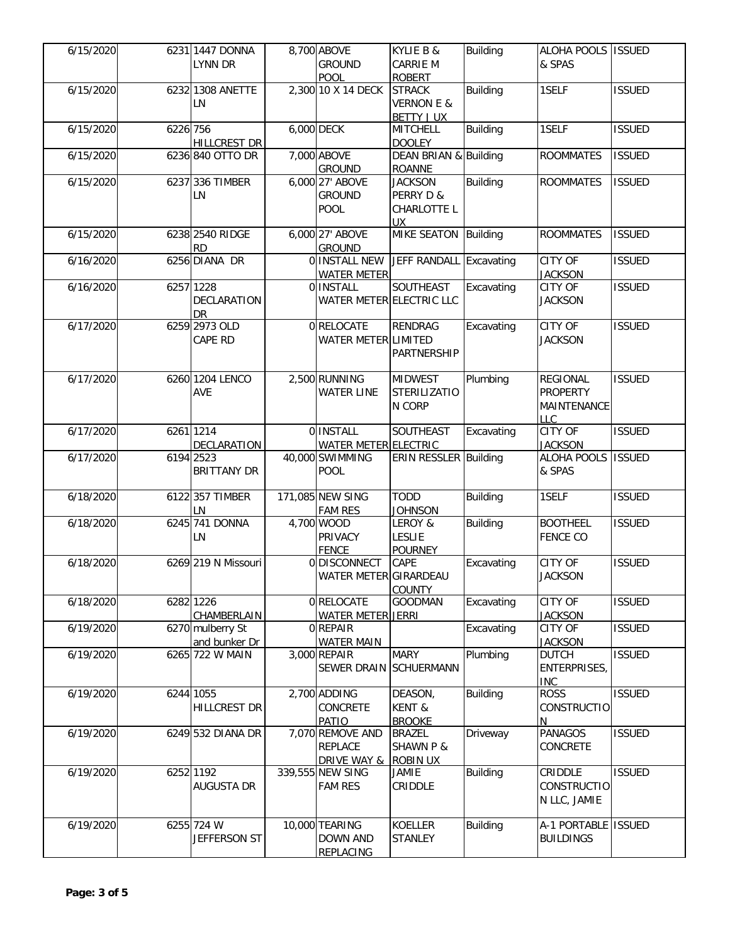| 6/15/2020 |          | 6231 1447 DONNA<br>LYNN DR            | 8,700 ABOVE<br><b>GROUND</b><br>POOL                         | KYLIE B &<br><b>CARRIE M</b><br><b>ROBERT</b>              | Building        | ALOHA POOLS ISSUED<br>& SPAS                                    |               |
|-----------|----------|---------------------------------------|--------------------------------------------------------------|------------------------------------------------------------|-----------------|-----------------------------------------------------------------|---------------|
| 6/15/2020 |          | 6232 1308 ANETTE<br>LN                | 2,300 10 X 14 DECK                                           | <b>STRACK</b><br><b>VERNON E &amp;</b><br><b>BETTY JUX</b> | <b>Building</b> | 1SELF                                                           | <b>ISSUED</b> |
| 6/15/2020 | 6226 756 | <b>HILLCREST DR</b>                   | 6,000 DECK                                                   | <b>MITCHELL</b><br><b>DOOLEY</b>                           | <b>Building</b> | 1SELF                                                           | <b>ISSUED</b> |
| 6/15/2020 |          | 6236 840 OTTO DR                      | 7,000 ABOVE<br><b>GROUND</b>                                 | DEAN BRIAN & Building<br><b>ROANNE</b>                     |                 | <b>ROOMMATES</b>                                                | <b>ISSUED</b> |
| 6/15/2020 |          | 6237 336 TIMBER<br>LN                 | 6,000 27' ABOVE<br><b>GROUND</b><br><b>POOL</b>              | <b>JACKSON</b><br>PERRY D &<br>CHARLOTTE L<br>UX.          | <b>Building</b> | <b>ROOMMATES</b>                                                | <b>ISSUED</b> |
| 6/15/2020 |          | 6238 2540 RIDGE<br><b>RD</b>          | 6,000 27' ABOVE<br><b>GROUND</b>                             | MIKE SEATON Building                                       |                 | <b>ROOMMATES</b>                                                | <b>ISSUED</b> |
| 6/16/2020 |          | 6256 DIANA DR                         | O INSTALL NEW<br><b>WATER METER</b>                          | JEFF RANDALL Excavating                                    |                 | <b>CITY OF</b><br><b>JACKSON</b>                                | <b>ISSUED</b> |
| 6/16/2020 |          | 6257 1228<br>DECLARATION<br><b>DR</b> | 0 INSTALL<br>WATER METER ELECTRIC LLC                        | SOUTHEAST                                                  | Excavating      | CITY OF<br><b>JACKSON</b>                                       | <b>ISSUED</b> |
| 6/17/2020 |          | 6259 2973 OLD<br>CAPE RD              | 0RELOCATE<br>WATER METER LIMITED                             | <b>RENDRAG</b><br>PARTNERSHIP                              | Excavating      | <b>CITY OF</b><br><b>JACKSON</b>                                | <b>ISSUED</b> |
| 6/17/2020 |          | 6260 1204 LENCO<br>AVE                | 2,500 RUNNING<br><b>WATER LINE</b>                           | <b>MIDWEST</b><br><b>STERILIZATIO</b><br>N CORP            | Plumbing        | <b>REGIONAL</b><br><b>PROPERTY</b><br>MAINTENANCE<br><b>LLC</b> | <b>ISSUED</b> |
| 6/17/2020 |          | 6261 1214<br><b>DECLARATION</b>       | 0 INSTALL<br><b>WATER METER ELECTRIC</b>                     | SOUTHEAST                                                  | Excavating      | <b>CITY OF</b><br><b>JACKSON</b>                                | <b>ISSUED</b> |
| 6/17/2020 |          | 6194 2523<br><b>BRITTANY DR</b>       | 40,000 SWIMMING<br><b>POOL</b>                               | ERIN RESSLER Building                                      |                 | ALOHA POOLS<br>& SPAS                                           | <b>ISSUED</b> |
| 6/18/2020 |          | 6122 357 TIMBER<br>LN                 | 171,085 NEW SING<br><b>FAM RES</b>                           | <b>TODD</b><br><b>JOHNSON</b>                              | <b>Building</b> | 1SELF                                                           | <b>ISSUED</b> |
| 6/18/2020 |          | 6245 741 DONNA<br>LN                  | 4,700 WOOD<br><b>PRIVACY</b><br><b>FENCE</b>                 | LEROY &<br><b>LESLIE</b><br><b>POURNEY</b>                 | <b>Building</b> | <b>BOOTHEEL</b><br><b>FENCE CO</b>                              | <b>ISSUED</b> |
| 6/18/2020 |          | 6269 219 N Missouri                   | 0 DISCONNECT<br>WATER METER GIRARDEAU                        | <b>CAPE</b><br><b>COUNTY</b>                               | Excavating      | <b>CITY OF</b><br><b>JACKSON</b>                                | <b>ISSUED</b> |
| 6/18/2020 |          | 6282 1226<br>CHAMBERLAIN              | 0RELOCATE<br><b>WATER METER JERRI</b>                        | <b>GOODMAN</b>                                             | Excavating      | CITY OF<br><b>JACKSON</b>                                       | <b>ISSUED</b> |
| 6/19/2020 |          | 6270 mulberry St<br>and bunker Dr     | 0 REPAIR<br><b>WATER MAIN</b>                                |                                                            | Excavating      | <b>CITY OF</b><br><b>JACKSON</b>                                | <b>ISSUED</b> |
| 6/19/2020 |          | 6265 722 W MAIN                       | 3,000 REPAIR<br>SEWER DRAIN SCHUERMANN                       | <b>MARY</b>                                                | Plumbing        | <b>DUTCH</b><br>ENTERPRISES,<br><b>INC</b>                      | <b>ISSUED</b> |
| 6/19/2020 |          | 6244 1055<br><b>HILLCREST DR</b>      | 2,700 ADDING<br>CONCRETE<br><b>PATIO</b>                     | DEASON,<br>KENT &<br><b>BROOKE</b>                         | <b>Building</b> | <b>ROSS</b><br><b>CONSTRUCTIO</b><br>N                          | <b>ISSUED</b> |
| 6/19/2020 |          | 6249 532 DIANA DR                     | 7,070 REMOVE AND<br><b>REPLACE</b><br><b>DRIVE WAY &amp;</b> | <b>BRAZEL</b><br><b>SHAWN P &amp;</b><br><b>ROBIN UX</b>   | Driveway        | PANAGOS<br>CONCRETE                                             | <b>ISSUED</b> |
| 6/19/2020 |          | 6252 1192<br><b>AUGUSTA DR</b>        | 339,555 NEW SING<br><b>FAM RES</b>                           | JAMIE<br>CRIDDLE                                           | <b>Building</b> | CRIDDLE<br><b>CONSTRUCTIO</b><br>N LLC, JAMIE                   | <b>ISSUED</b> |
| 6/19/2020 |          | 6255 724 W<br>JEFFERSON ST            | 10,000 TEARING<br><b>DOWN AND</b><br><b>REPLACING</b>        | <b>KOELLER</b><br><b>STANLEY</b>                           | <b>Building</b> | A-1 PORTABLE   ISSUED<br><b>BUILDINGS</b>                       |               |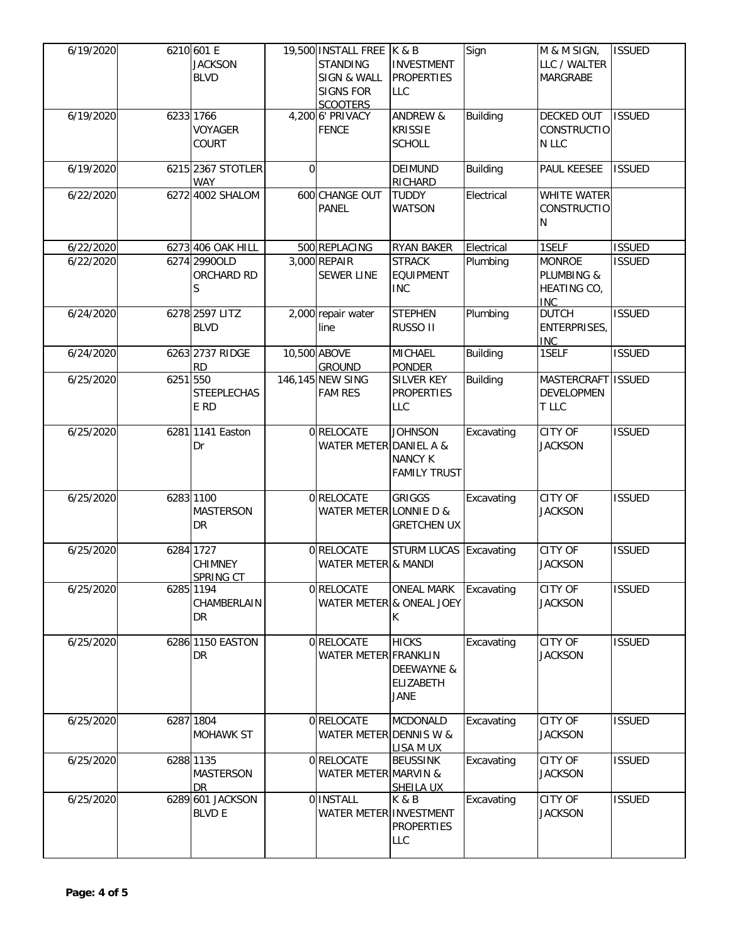| 6/19/2020 |          | 6210 601 E<br><b>JACKSON</b><br><b>BLVD</b> |          | 19,500 INSTALL FREE   K & B<br><b>STANDING</b><br><b>SIGN &amp; WALL</b><br><b>SIGNS FOR</b><br><b>SCOOTERS</b> | <b>INVESTMENT</b><br><b>PROPERTIES</b><br><b>LLC</b>          | Sign            | M & M SIGN,<br>LLC / WALTER<br>MARGRABE                  | <b>ISSUED</b> |
|-----------|----------|---------------------------------------------|----------|-----------------------------------------------------------------------------------------------------------------|---------------------------------------------------------------|-----------------|----------------------------------------------------------|---------------|
| 6/19/2020 |          | 6233 1766<br><b>VOYAGER</b><br>COURT        |          | 4,200 6' PRIVACY<br><b>FENCE</b>                                                                                | <b>ANDREW &amp;</b><br><b>KRISSIE</b><br><b>SCHOLL</b>        | <b>Building</b> | DECKED OUT<br>CONSTRUCTIO<br>N LLC                       | <b>ISSUED</b> |
| 6/19/2020 |          | 6215 2367 STOTLER<br><b>WAY</b>             | $\Omega$ |                                                                                                                 | DEIMUND<br>RICHARD                                            | <b>Building</b> | PAUL KEESEE                                              | <b>ISSUED</b> |
| 6/22/2020 |          | 6272 4002 SHALOM                            |          | 600 CHANGE OUT<br><b>PANEL</b>                                                                                  | <b>TUDDY</b><br><b>WATSON</b>                                 | Electrical      | <b>WHITE WATER</b><br>CONSTRUCTIO<br>N                   |               |
| 6/22/2020 |          | 6273 406 OAK HILL                           |          | 500 REPLACING                                                                                                   | <b>RYAN BAKER</b>                                             | Electrical      | 1SELF                                                    | <b>ISSUED</b> |
| 6/22/2020 |          | 6274 2990OLD<br>ORCHARD RD<br>S             |          | 3,000 REPAIR<br><b>SEWER LINE</b>                                                                               | <b>STRACK</b><br><b>EQUIPMENT</b><br><b>INC</b>               | Plumbing        | <b>MONROE</b><br>PLUMBING &<br>HEATING CO,<br><b>INC</b> | <b>ISSUED</b> |
| 6/24/2020 |          | 6278 2597 LITZ<br><b>BLVD</b>               |          | 2,000 repair water<br>line                                                                                      | <b>STEPHEN</b><br>RUSSO II                                    | Plumbing        | <b>DUTCH</b><br>ENTERPRISES,<br><b>INC</b>               | <b>ISSUED</b> |
| 6/24/2020 |          | 6263 2737 RIDGE<br><b>RD</b>                |          | 10,500 ABOVE<br><b>GROUND</b>                                                                                   | <b>MICHAEL</b><br><b>PONDER</b>                               | <b>Building</b> | 1SELF                                                    | <b>ISSUED</b> |
| 6/25/2020 | 6251 550 | <b>STEEPLECHAS</b><br>E RD                  |          | 146,145 NEW SING<br><b>FAM RES</b>                                                                              | <b>SILVER KEY</b><br><b>PROPERTIES</b><br>LLC                 | <b>Building</b> | MASTERCRAFT ISSUED<br><b>DEVELOPMEN</b><br>T LLC         |               |
| 6/25/2020 |          | 6281 1141 Easton<br>Dr                      |          | 0 RELOCATE<br>WATER METER DANIEL A &                                                                            | <b>JOHNSON</b><br><b>NANCY K</b><br><b>FAMILY TRUST</b>       | Excavating      | CITY OF<br><b>JACKSON</b>                                | <b>ISSUED</b> |
| 6/25/2020 |          | 6283 1100<br><b>MASTERSON</b><br>DR         |          | 0 RELOCATE<br>WATER METER LONNIE D &                                                                            | <b>GRIGGS</b><br><b>GRETCHEN UX</b>                           | Excavating      | <b>CITY OF</b><br><b>JACKSON</b>                         | <b>ISSUED</b> |
| 6/25/2020 |          | 6284 1727<br><b>CHIMNEY</b><br>SPRING CT    |          | 0 RELOCATE<br>WATER METER & MANDI                                                                               | <b>STURM LUCAS Excavating</b>                                 |                 | <b>CITY OF</b><br><b>JACKSON</b>                         | <b>ISSUED</b> |
| 6/25/2020 |          | 6285 1194<br>CHAMBERLAIN<br>DR.             |          | 0 RELOCATE                                                                                                      | <b>ONEAL MARK</b><br>WATER METER & ONEAL JOEY<br>K.           | Excavating      | CITY OF<br><b>JACKSON</b>                                | <b>ISSUED</b> |
| 6/25/2020 |          | 6286 1150 EASTON<br>DR.                     |          | 0 RELOCATE<br>WATER METER FRANKLIN                                                                              | <b>HICKS</b><br>DEEWAYNE &<br><b>ELIZABETH</b><br><b>JANE</b> | Excavating      | CITY OF<br><b>JACKSON</b>                                | <b>ISSUED</b> |
| 6/25/2020 |          | 6287 1804<br><b>MOHAWK ST</b>               |          | 0 RELOCATE<br>WATER METER DENNIS W &                                                                            | <b>MCDONALD</b><br>LISA M UX                                  | Excavating      | CITY OF<br><b>JACKSON</b>                                | <b>ISSUED</b> |
| 6/25/2020 |          | 6288 1135<br><b>MASTERSON</b><br>DR.        |          | 0 RELOCATE<br>WATER METER MARVIN &                                                                              | <b>BEUSSINK</b><br><b>SHEILA UX</b>                           | Excavating      | CITY OF<br><b>JACKSON</b>                                | <b>ISSUED</b> |
| 6/25/2020 |          | 6289 601 JACKSON<br><b>BLVD E</b>           |          | 0 INSTALL<br>WATER METER INVESTMENT                                                                             | K & B<br><b>PROPERTIES</b><br>LLC                             | Excavating      | CITY OF<br><b>JACKSON</b>                                | <b>ISSUED</b> |